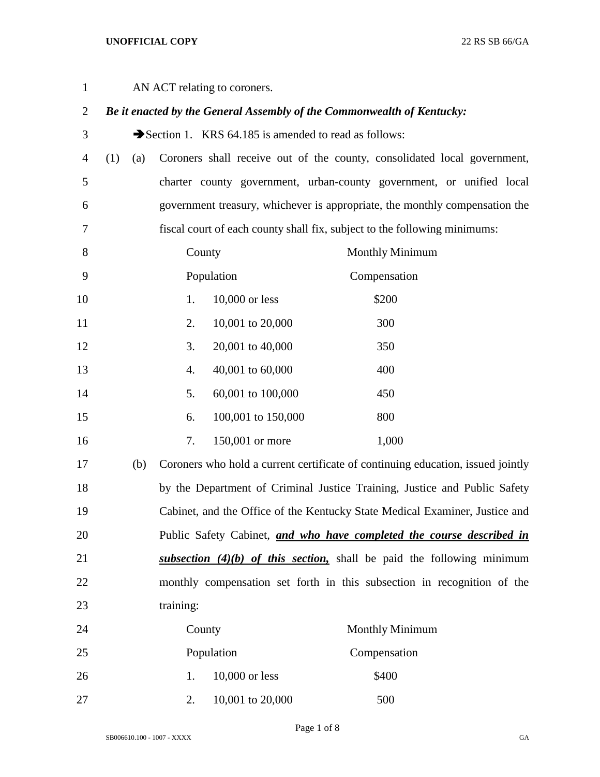## **UNOFFICIAL COPY** 22 RS SB 66/GA

| $\mathbf{1}$   |     | AN ACT relating to coroners. |           |                                                                        |  |                                                                                 |
|----------------|-----|------------------------------|-----------|------------------------------------------------------------------------|--|---------------------------------------------------------------------------------|
| $\overline{2}$ |     |                              |           | Be it enacted by the General Assembly of the Commonwealth of Kentucky: |  |                                                                                 |
| 3              |     |                              |           | Section 1. KRS 64.185 is amended to read as follows:                   |  |                                                                                 |
| $\overline{4}$ | (1) | (a)                          |           |                                                                        |  | Coroners shall receive out of the county, consolidated local government,        |
| $\mathfrak{S}$ |     |                              |           |                                                                        |  | charter county government, urban-county government, or unified local            |
| 6              |     |                              |           |                                                                        |  | government treasury, whichever is appropriate, the monthly compensation the     |
| 7              |     |                              |           |                                                                        |  | fiscal court of each county shall fix, subject to the following minimums:       |
| 8              |     |                              | County    |                                                                        |  | <b>Monthly Minimum</b>                                                          |
| 9              |     |                              |           | Population                                                             |  | Compensation                                                                    |
| 10             |     |                              | 1.        | 10,000 or less                                                         |  | \$200                                                                           |
| 11             |     |                              | 2.        | 10,001 to 20,000                                                       |  | 300                                                                             |
| 12             |     |                              | 3.        | 20,001 to 40,000                                                       |  | 350                                                                             |
| 13             |     |                              | 4.        | 40,001 to 60,000                                                       |  | 400                                                                             |
| 14             |     |                              | 5.        | 60,001 to 100,000                                                      |  | 450                                                                             |
| 15             |     |                              | 6.        | 100,001 to 150,000                                                     |  | 800                                                                             |
| 16             |     |                              | 7.        | 150,001 or more                                                        |  | 1,000                                                                           |
| 17             |     | (b)                          |           |                                                                        |  | Coroners who hold a current certificate of continuing education, issued jointly |
| 18             |     |                              |           |                                                                        |  | by the Department of Criminal Justice Training, Justice and Public Safety       |
| 19             |     |                              |           |                                                                        |  | Cabinet, and the Office of the Kentucky State Medical Examiner, Justice and     |
| 20             |     |                              |           |                                                                        |  | Public Safety Cabinet, and who have completed the course described in           |
| 21             |     |                              |           |                                                                        |  | subsection $(4)(b)$ of this section, shall be paid the following minimum        |
| 22             |     |                              |           |                                                                        |  | monthly compensation set forth in this subsection in recognition of the         |
| 23             |     |                              | training: |                                                                        |  |                                                                                 |
|                |     |                              |           |                                                                        |  |                                                                                 |

| 24 | County           | <b>Monthly Minimum</b> |
|----|------------------|------------------------|
| 25 | Population       | Compensation           |
| 26 | $10,000$ or less | \$400                  |
| 27 | 10,001 to 20,000 | 500                    |

Page 1 of 8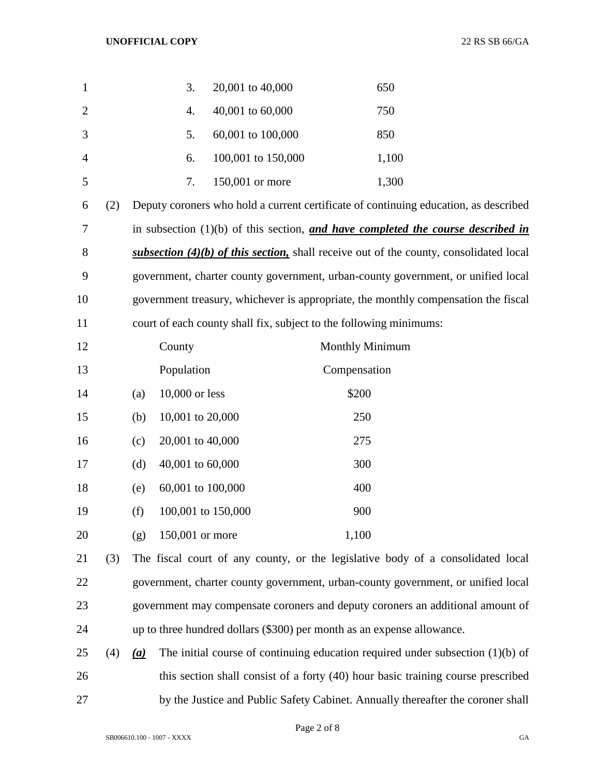| $\mathbf{1}$   |     |     | 3.                 | 20,001 to 40,000                                                       |                 | 650                                                                                      |
|----------------|-----|-----|--------------------|------------------------------------------------------------------------|-----------------|------------------------------------------------------------------------------------------|
| $\overline{2}$ |     |     | 4.                 | 40,001 to 60,000                                                       |                 | 750                                                                                      |
| 3              |     |     | 5.                 | 60,001 to 100,000                                                      |                 | 850                                                                                      |
| 4              |     |     | 6.                 | 100,001 to 150,000                                                     |                 | 1,100                                                                                    |
| 5              |     |     | 7.                 | 150,001 or more                                                        |                 | 1,300                                                                                    |
| 6              | (2) |     |                    |                                                                        |                 | Deputy coroners who hold a current certificate of continuing education, as described     |
| 7              |     |     |                    |                                                                        |                 | in subsection $(1)(b)$ of this section, and have completed the course described in       |
| 8              |     |     |                    |                                                                        |                 | subsection $(4)(b)$ of this section, shall receive out of the county, consolidated local |
| 9              |     |     |                    |                                                                        |                 | government, charter county government, urban-county government, or unified local         |
| 10             |     |     |                    |                                                                        |                 | government treasury, whichever is appropriate, the monthly compensation the fiscal       |
| 11             |     |     |                    | court of each county shall fix, subject to the following minimums:     |                 |                                                                                          |
| 12             |     |     | County             |                                                                        | Monthly Minimum |                                                                                          |
| 13             |     |     | Population         |                                                                        | Compensation    |                                                                                          |
| 14             |     | (a) | 10,000 or less     |                                                                        | \$200           |                                                                                          |
| 15             |     | (b) | 10,001 to 20,000   |                                                                        | 250             |                                                                                          |
| 16             |     | (c) | 20,001 to 40,000   |                                                                        | 275             |                                                                                          |
| 17             |     | (d) | 40,001 to 60,000   |                                                                        | 300             |                                                                                          |
| 18             |     | (e) | 60,001 to 100,000  |                                                                        | 400             |                                                                                          |
| 19             |     | (f) | 100,001 to 150,000 |                                                                        | 900             |                                                                                          |
| 20             |     | (g) | 150,001 or more    |                                                                        | 1,100           |                                                                                          |
| 21             | (3) |     |                    |                                                                        |                 | The fiscal court of any county, or the legislative body of a consolidated local          |
| 22             |     |     |                    |                                                                        |                 | government, charter county government, urban-county government, or unified local         |
| 23             |     |     |                    |                                                                        |                 | government may compensate coroners and deputy coroners an additional amount of           |
| 24             |     |     |                    | up to three hundred dollars (\$300) per month as an expense allowance. |                 |                                                                                          |
| 25             | (4) | (a) |                    |                                                                        |                 | The initial course of continuing education required under subsection $(1)(b)$ of         |

 this section shall consist of a forty (40) hour basic training course prescribed by the Justice and Public Safety Cabinet. Annually thereafter the coroner shall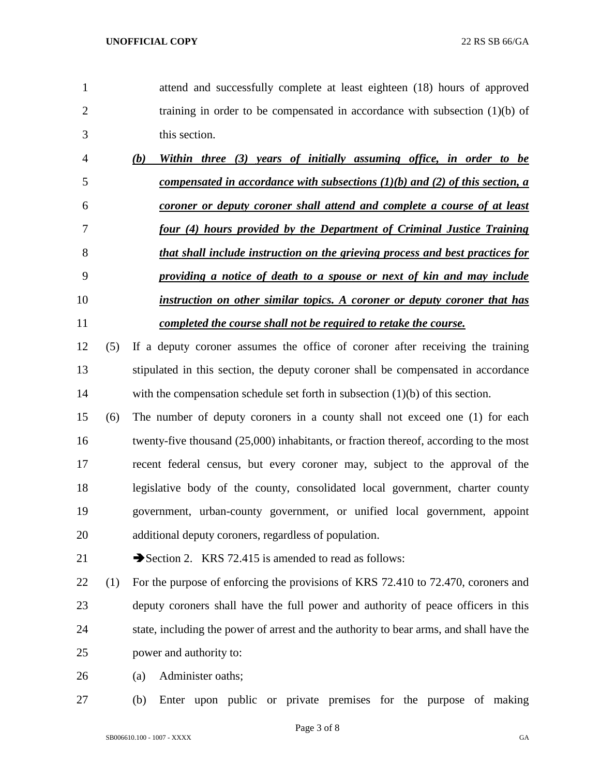attend and successfully complete at least eighteen (18) hours of approved 2 training in order to be compensated in accordance with subsection (1)(b) of this section.

| $\overline{4}$ | (b) | Within three (3) years of initially assuming office, in order to be              |
|----------------|-----|----------------------------------------------------------------------------------|
| 5              |     | compensated in accordance with subsections $(1)(b)$ and $(2)$ of this section, a |
| 6              |     | coroner or deputy coroner shall attend and complete a course of at least         |
|                |     | four (4) hours provided by the Department of Criminal Justice Training           |
| 8              |     | that shall include instruction on the grieving process and best practices for    |
| 9              |     | providing a notice of death to a spouse or next of kin and may include           |
| 10             |     | instruction on other similar topics. A coroner or deputy coroner that has        |
| 11             |     | completed the course shall not be required to retake the course.                 |

- (5) If a deputy coroner assumes the office of coroner after receiving the training stipulated in this section, the deputy coroner shall be compensated in accordance with the compensation schedule set forth in subsection (1)(b) of this section.
- (6) The number of deputy coroners in a county shall not exceed one (1) for each 16 twenty-five thousand (25,000) inhabitants, or fraction thereof, according to the most recent federal census, but every coroner may, subject to the approval of the legislative body of the county, consolidated local government, charter county government, urban-county government, or unified local government, appoint additional deputy coroners, regardless of population.

$$
21
$$
 **Section 2.** KRS 72.415 is amended to read as follows:

 (1) For the purpose of enforcing the provisions of KRS 72.410 to 72.470, coroners and deputy coroners shall have the full power and authority of peace officers in this state, including the power of arrest and the authority to bear arms, and shall have the power and authority to:

(a) Administer oaths;

(b) Enter upon public or private premises for the purpose of making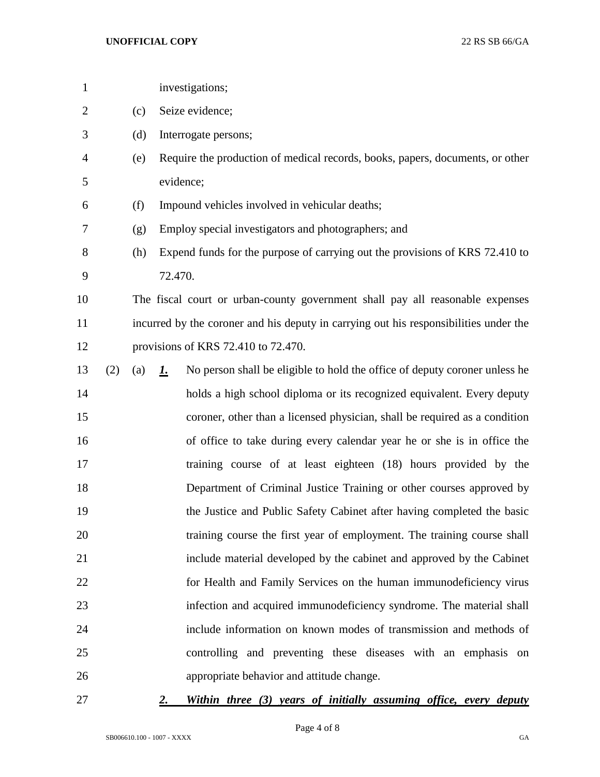| $\mathbf{1}$   |     |     | investigations;                                                                         |
|----------------|-----|-----|-----------------------------------------------------------------------------------------|
| $\overline{2}$ |     | (c) | Seize evidence;                                                                         |
| 3              |     | (d) | Interrogate persons;                                                                    |
| 4              |     | (e) | Require the production of medical records, books, papers, documents, or other           |
| 5              |     |     | evidence;                                                                               |
| 6              |     | (f) | Impound vehicles involved in vehicular deaths;                                          |
| 7              |     | (g) | Employ special investigators and photographers; and                                     |
| 8              |     | (h) | Expend funds for the purpose of carrying out the provisions of KRS 72.410 to            |
| 9              |     |     | 72.470.                                                                                 |
| 10             |     |     | The fiscal court or urban-county government shall pay all reasonable expenses           |
| 11             |     |     | incurred by the coroner and his deputy in carrying out his responsibilities under the   |
| 12             |     |     | provisions of KRS 72.410 to 72.470.                                                     |
| 13             | (2) | (a) | No person shall be eligible to hold the office of deputy coroner unless he<br><u>1.</u> |
| 14             |     |     | holds a high school diploma or its recognized equivalent. Every deputy                  |
| 15             |     |     | coroner, other than a licensed physician, shall be required as a condition              |
| 16             |     |     | of office to take during every calendar year he or she is in office the                 |
| 17             |     |     | training course of at least eighteen (18) hours provided by the                         |
| 18             |     |     | Department of Criminal Justice Training or other courses approved by                    |
| 19             |     |     | the Justice and Public Safety Cabinet after having completed the basic                  |
| 20             |     |     | training course the first year of employment. The training course shall                 |
| 21             |     |     | include material developed by the cabinet and approved by the Cabinet                   |
| 22             |     |     | for Health and Family Services on the human immunodeficiency virus                      |
| 23             |     |     | infection and acquired immunodeficiency syndrome. The material shall                    |
| 24             |     |     | include information on known modes of transmission and methods of                       |
| 25             |     |     | controlling and preventing these diseases with an emphasis on                           |
| 26             |     |     | appropriate behavior and attitude change.                                               |
|                |     |     |                                                                                         |

## *2. Within three (3) years of initially assuming office, every deputy*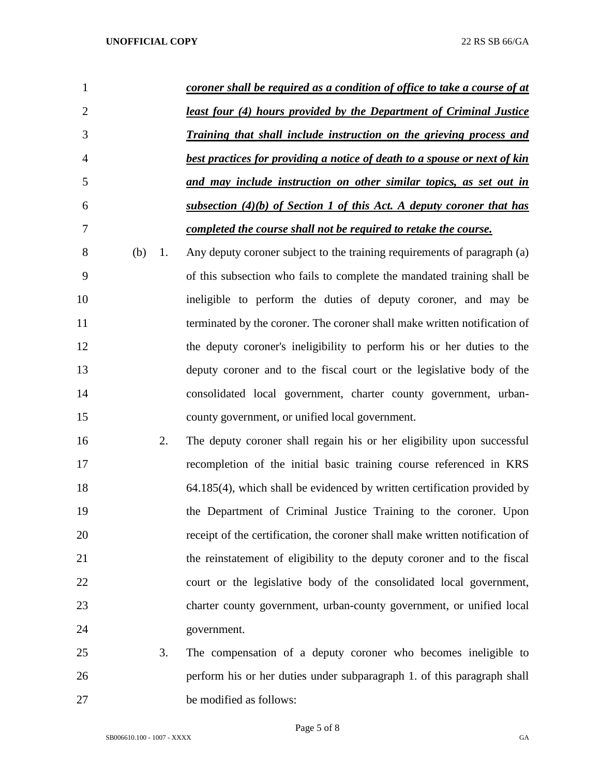| 1              |     |    | coroner shall be required as a condition of office to take a course of at                 |
|----------------|-----|----|-------------------------------------------------------------------------------------------|
| $\overline{2}$ |     |    | <u>least four (4) hours provided by the Department of Criminal Justice</u>                |
| 3              |     |    | Training that shall include instruction on the grieving process and                       |
| 4              |     |    | best practices for providing a notice of death to a spouse or next of kin                 |
| 5              |     |    | and may include instruction on other similar topics, as set out in                        |
| 6              |     |    | <u>subsection <math>(4)(b)</math> of Section 1 of this Act. A deputy coroner that has</u> |
| 7              |     |    | completed the course shall not be required to retake the course.                          |
| 8              | (b) | 1. | Any deputy coroner subject to the training requirements of paragraph (a)                  |
| 9              |     |    | of this subsection who fails to complete the mandated training shall be                   |
| 10             |     |    | ineligible to perform the duties of deputy coroner, and may be                            |
| 11             |     |    | terminated by the coroner. The coroner shall make written notification of                 |
| 12             |     |    | the deputy coroner's ineligibility to perform his or her duties to the                    |
| 13             |     |    | deputy coroner and to the fiscal court or the legislative body of the                     |
| 14             |     |    | consolidated local government, charter county government, urban-                          |
| 15             |     |    | county government, or unified local government.                                           |
| 16             |     | 2. | The deputy coroner shall regain his or her eligibility upon successful                    |
| 17             |     |    | recompletion of the initial basic training course referenced in KRS                       |
| 18             |     |    | 64.185(4), which shall be evidenced by written certification provided by                  |
| 19             |     |    | the Department of Criminal Justice Training to the coroner. Upon                          |
| 20             |     |    | receipt of the certification, the coroner shall make written notification of              |
| 21             |     |    | the reinstatement of eligibility to the deputy coroner and to the fiscal                  |
| 22             |     |    | court or the legislative body of the consolidated local government,                       |
| 23             |     |    | charter county government, urban-county government, or unified local                      |
| 24             |     |    | government.                                                                               |
| 25             |     | 3. | The compensation of a deputy coroner who becomes ineligible to                            |
| 26             |     |    | perform his or her duties under subparagraph 1. of this paragraph shall                   |

be modified as follows:

Page 5 of 8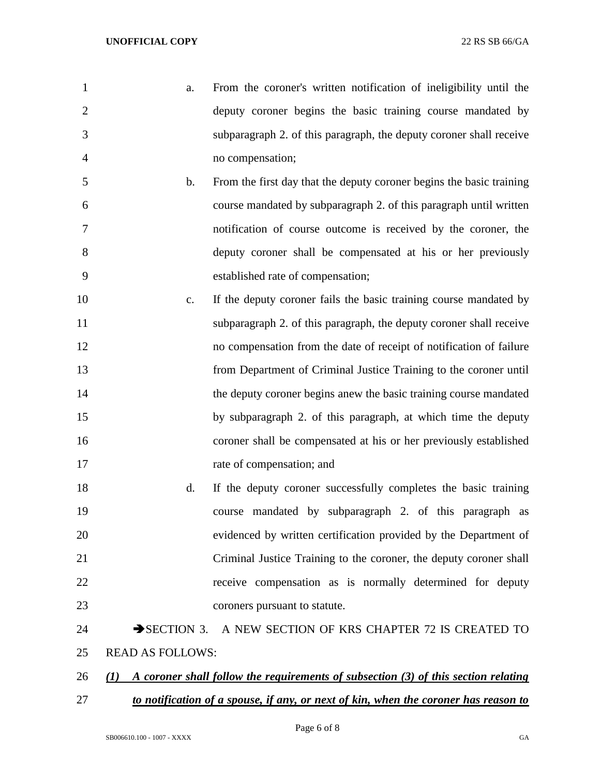| $\mathbf{1}$   | a.                       | From the coroner's written notification of ineligibility until the                 |
|----------------|--------------------------|------------------------------------------------------------------------------------|
| $\overline{2}$ |                          | deputy coroner begins the basic training course mandated by                        |
| 3              |                          | subparagraph 2. of this paragraph, the deputy coroner shall receive                |
| 4              |                          | no compensation;                                                                   |
| 5              | $\mathbf b$ .            | From the first day that the deputy coroner begins the basic training               |
| 6              |                          | course mandated by subparagraph 2. of this paragraph until written                 |
| 7              |                          | notification of course outcome is received by the coroner, the                     |
| 8              |                          | deputy coroner shall be compensated at his or her previously                       |
| 9              |                          | established rate of compensation;                                                  |
| 10             | c.                       | If the deputy coroner fails the basic training course mandated by                  |
| 11             |                          | subparagraph 2. of this paragraph, the deputy coroner shall receive                |
| 12             |                          | no compensation from the date of receipt of notification of failure                |
| 13             |                          | from Department of Criminal Justice Training to the coroner until                  |
| 14             |                          | the deputy coroner begins anew the basic training course mandated                  |
| 15             |                          | by subparagraph 2. of this paragraph, at which time the deputy                     |
| 16             |                          | coroner shall be compensated at his or her previously established                  |
| 17             |                          | rate of compensation; and                                                          |
| 18             | d.                       | If the deputy coroner successfully completes the basic training                    |
| 19             |                          | course mandated by subparagraph 2. of this paragraph as                            |
| 20             |                          | evidenced by written certification provided by the Department of                   |
| 21             |                          | Criminal Justice Training to the coroner, the deputy coroner shall                 |
| 22             |                          | receive compensation as is normally determined for deputy                          |
| 23             |                          | coroners pursuant to statute.                                                      |
| 24             | $\rightarrow$ SECTION 3. | A NEW SECTION OF KRS CHAPTER 72 IS CREATED TO                                      |
| 25             | <b>READ AS FOLLOWS:</b>  |                                                                                    |
| 26             | (I)                      | A coroner shall follow the requirements of subsection (3) of this section relating |

*to notification of a spouse, if any, or next of kin, when the coroner has reason to*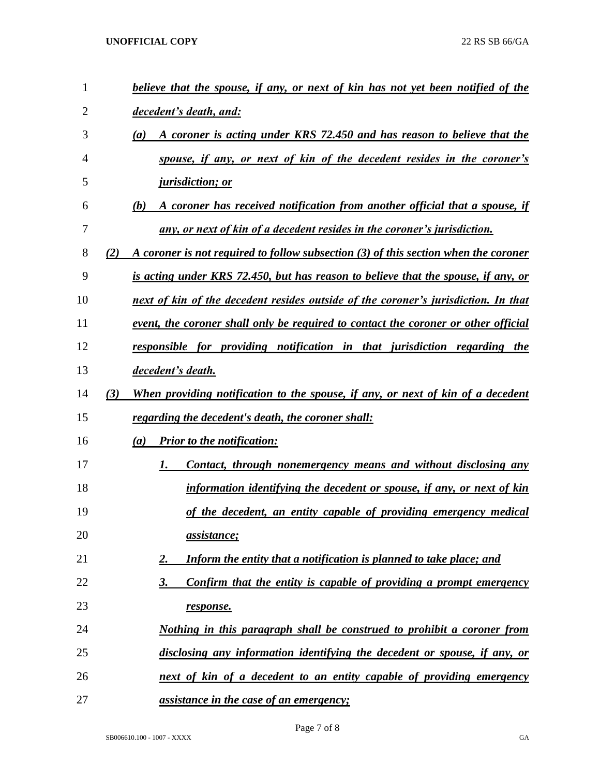## **UNOFFICIAL COPY** 22 RS SB 66/GA

| 1              |     | <u>believe that the spouse, if any, or next of kin has not yet been notified of the</u>  |
|----------------|-----|------------------------------------------------------------------------------------------|
| $\overline{2}$ |     | decedent's death, and:                                                                   |
| 3              |     | A coroner is acting under KRS 72.450 and has reason to believe that the<br>(a)           |
| 4              |     | spouse, if any, or next of kin of the decedent resides in the coroner's                  |
| 5              |     | <i>jurisdiction; or</i>                                                                  |
| 6              |     | A coroner has received notification from another official that a spouse, if<br>(b)       |
| 7              |     | any, or next of kin of a decedent resides in the coroner's jurisdiction.                 |
| 8              | (2) | A coroner is not required to follow subsection (3) of this section when the coroner      |
| 9              |     | <u>is acting under KRS 72.450, but has reason to believe that the spouse, if any, or</u> |
| 10             |     | next of kin of the decedent resides outside of the coroner's jurisdiction. In that       |
| 11             |     | event, the coroner shall only be required to contact the coroner or other official       |
| 12             |     | responsible for providing notification in that jurisdiction regarding the                |
| 13             |     | decedent's death.                                                                        |
| 14             | (3) | When providing notification to the spouse, if any, or next of kin of a decedent          |
| 15             |     | regarding the decedent's death, the coroner shall:                                       |
| 16             |     | <b>Prior to the notification:</b><br>(a)                                                 |
| 17             |     | <u>Contact, through nonemergency means and without disclosing any</u><br>1.              |
| 18             |     | information identifying the decedent or spouse, if any, or next of kin                   |
| 19             |     | of the decedent, an entity capable of providing emergency medical                        |
| 20             |     | <u>assistance;</u>                                                                       |
| 21             |     | Inform the entity that a notification is planned to take place; and<br><u>2.</u>         |
| 22             |     | Confirm that the entity is capable of providing a prompt emergency<br><u>3.</u>          |
| 23             |     | response.                                                                                |
| 24             |     | <u>Nothing in this paragraph shall be construed to prohibit a coroner from</u>           |
| 25             |     | disclosing any information identifying the decedent or spouse, if any, or                |
| 26             |     | next of kin of a decedent to an entity capable of providing emergency                    |
| 27             |     | <u>assistance in the case of an emergency;</u>                                           |